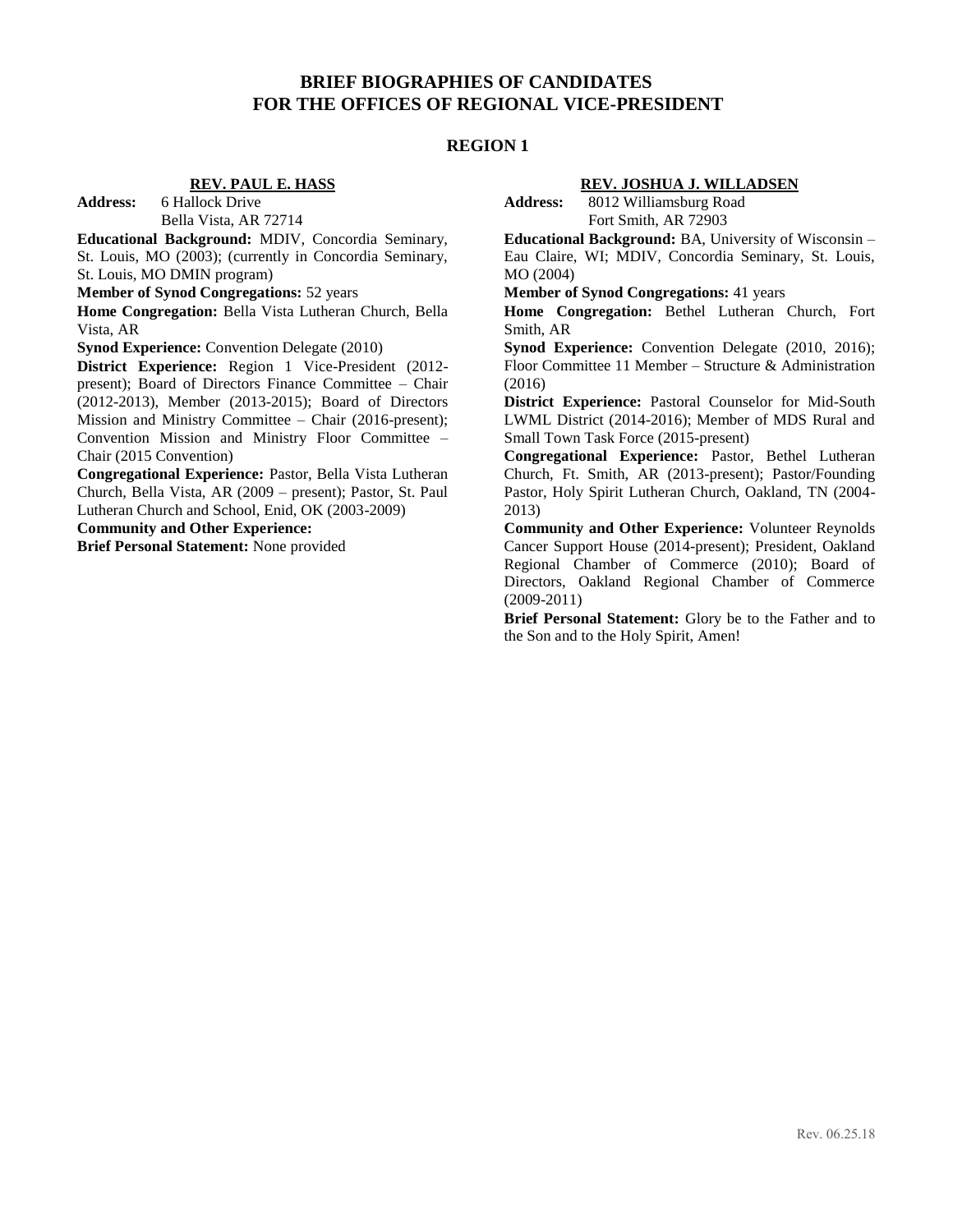# **BRIEF BIOGRAPHIES OF CANDIDATES FOR THE OFFICES OF REGIONAL VICE-PRESIDENT**

# **REGION 1**

# **REV. PAUL E. HASS**

**Address:** 6 Hallock Drive

Bella Vista, AR 72714

**Educational Background:** MDIV, Concordia Seminary, St. Louis, MO (2003); (currently in Concordia Seminary, St. Louis, MO DMIN program)

**Member of Synod Congregations:** 52 years

**Home Congregation:** Bella Vista Lutheran Church, Bella Vista, AR

**Synod Experience:** Convention Delegate (2010)

**District Experience:** Region 1 Vice-President (2012 present); Board of Directors Finance Committee – Chair (2012-2013), Member (2013-2015); Board of Directors Mission and Ministry Committee – Chair (2016-present); Convention Mission and Ministry Floor Committee – Chair (2015 Convention)

**Congregational Experience:** Pastor, Bella Vista Lutheran Church, Bella Vista, AR (2009 – present); Pastor, St. Paul Lutheran Church and School, Enid, OK (2003-2009)

**Community and Other Experience:**

**Brief Personal Statement:** None provided

### **REV. JOSHUA J. WILLADSEN**

**Address:** 8012 Williamsburg Road Fort Smith, AR 72903

**Educational Background:** BA, University of Wisconsin – Eau Claire, WI; MDIV, Concordia Seminary, St. Louis, MO (2004)

**Member of Synod Congregations:** 41 years

**Home Congregation:** Bethel Lutheran Church, Fort Smith, AR

**Synod Experience:** Convention Delegate (2010, 2016); Floor Committee 11 Member – Structure & Administration (2016)

**District Experience:** Pastoral Counselor for Mid-South LWML District (2014-2016); Member of MDS Rural and Small Town Task Force (2015-present)

**Congregational Experience:** Pastor, Bethel Lutheran Church, Ft. Smith, AR (2013-present); Pastor/Founding Pastor, Holy Spirit Lutheran Church, Oakland, TN (2004- 2013)

**Community and Other Experience:** Volunteer Reynolds Cancer Support House (2014-present); President, Oakland Regional Chamber of Commerce (2010); Board of Directors, Oakland Regional Chamber of Commerce (2009-2011)

**Brief Personal Statement:** Glory be to the Father and to the Son and to the Holy Spirit, Amen!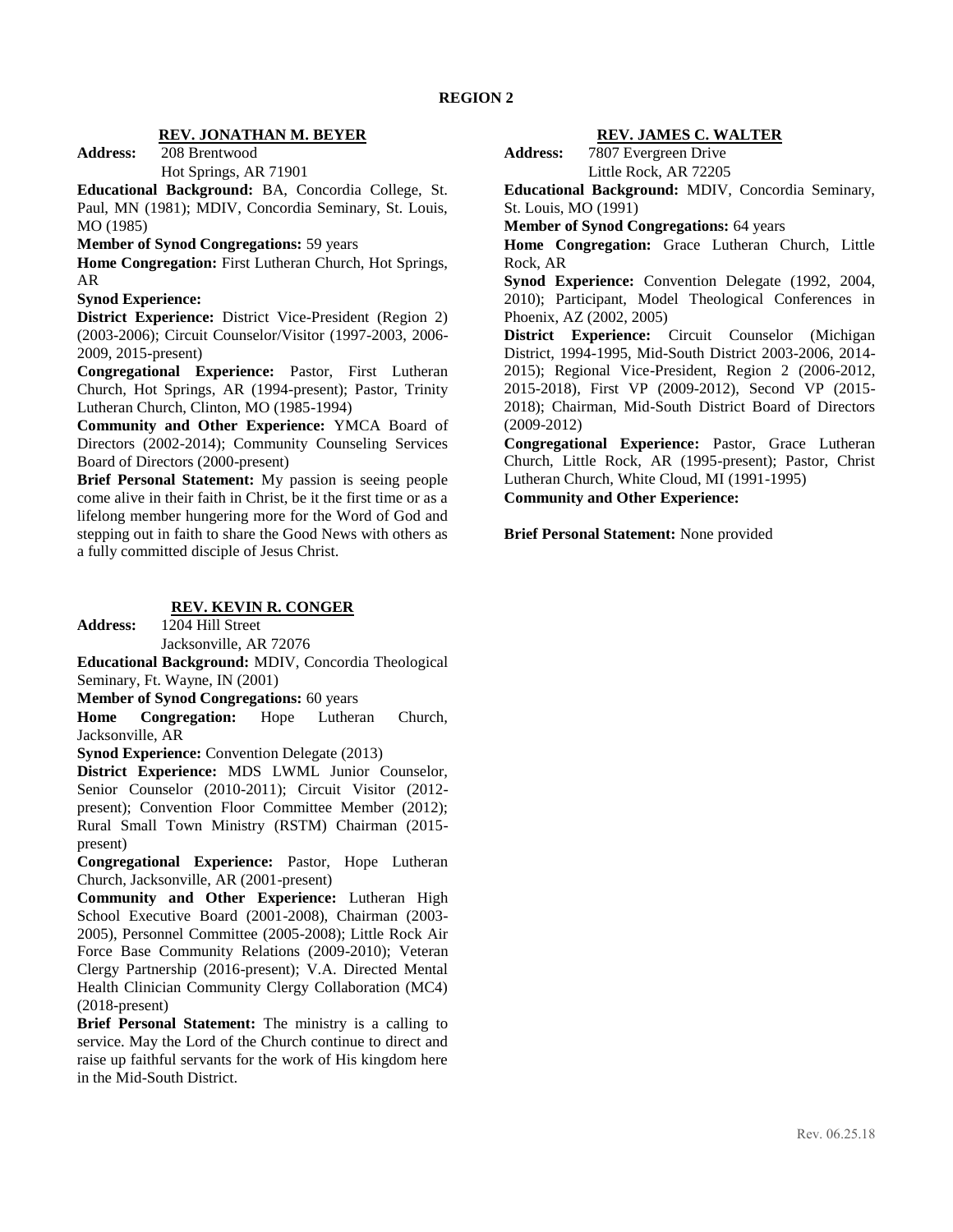### **REV. JONATHAN M. BEYER**

**Address:** 208 Brentwood Hot Springs, AR 71901

**Educational Background:** BA, Concordia College, St.

Paul, MN (1981); MDIV, Concordia Seminary, St. Louis, MO (1985)

### **Member of Synod Congregations:** 59 years

**Home Congregation:** First Lutheran Church, Hot Springs, AR

### **Synod Experience:**

**District Experience:** District Vice-President (Region 2) (2003-2006); Circuit Counselor/Visitor (1997-2003, 2006- 2009, 2015-present)

**Congregational Experience:** Pastor, First Lutheran Church, Hot Springs, AR (1994-present); Pastor, Trinity Lutheran Church, Clinton, MO (1985-1994)

**Community and Other Experience:** YMCA Board of Directors (2002-2014); Community Counseling Services Board of Directors (2000-present)

**Brief Personal Statement:** My passion is seeing people come alive in their faith in Christ, be it the first time or as a lifelong member hungering more for the Word of God and stepping out in faith to share the Good News with others as a fully committed disciple of Jesus Christ.

# **REV. KEVIN R. CONGER**

**Address:** 1204 Hill Street

Jacksonville, AR 72076

**Educational Background:** MDIV, Concordia Theological Seminary, Ft. Wayne, IN (2001)

**Member of Synod Congregations:** 60 years

**Home Congregation:** Hope Lutheran Church, Jacksonville, AR

**Synod Experience:** Convention Delegate (2013)

**District Experience:** MDS LWML Junior Counselor, Senior Counselor (2010-2011); Circuit Visitor (2012 present); Convention Floor Committee Member (2012); Rural Small Town Ministry (RSTM) Chairman (2015 present)

**Congregational Experience:** Pastor, Hope Lutheran Church, Jacksonville, AR (2001-present)

**Community and Other Experience:** Lutheran High School Executive Board (2001-2008), Chairman (2003- 2005), Personnel Committee (2005-2008); Little Rock Air Force Base Community Relations (2009-2010); Veteran Clergy Partnership (2016-present); V.A. Directed Mental Health Clinician Community Clergy Collaboration (MC4) (2018-present)

**Brief Personal Statement:** The ministry is a calling to service. May the Lord of the Church continue to direct and raise up faithful servants for the work of His kingdom here in the Mid-South District.

### **REV. JAMES C. WALTER**

**Address:** 7807 Evergreen Drive Little Rock, AR 72205

**Educational Background:** MDIV, Concordia Seminary, St. Louis, MO (1991)

**Member of Synod Congregations:** 64 years

**Home Congregation:** Grace Lutheran Church, Little Rock, AR

**Synod Experience:** Convention Delegate (1992, 2004, 2010); Participant, Model Theological Conferences in Phoenix, AZ (2002, 2005)

**District Experience:** Circuit Counselor (Michigan District, 1994-1995, Mid-South District 2003-2006, 2014- 2015); Regional Vice-President, Region 2 (2006-2012, 2015-2018), First VP (2009-2012), Second VP (2015- 2018); Chairman, Mid-South District Board of Directors (2009-2012)

**Congregational Experience:** Pastor, Grace Lutheran Church, Little Rock, AR (1995-present); Pastor, Christ Lutheran Church, White Cloud, MI (1991-1995)

**Community and Other Experience:**

**Brief Personal Statement:** None provided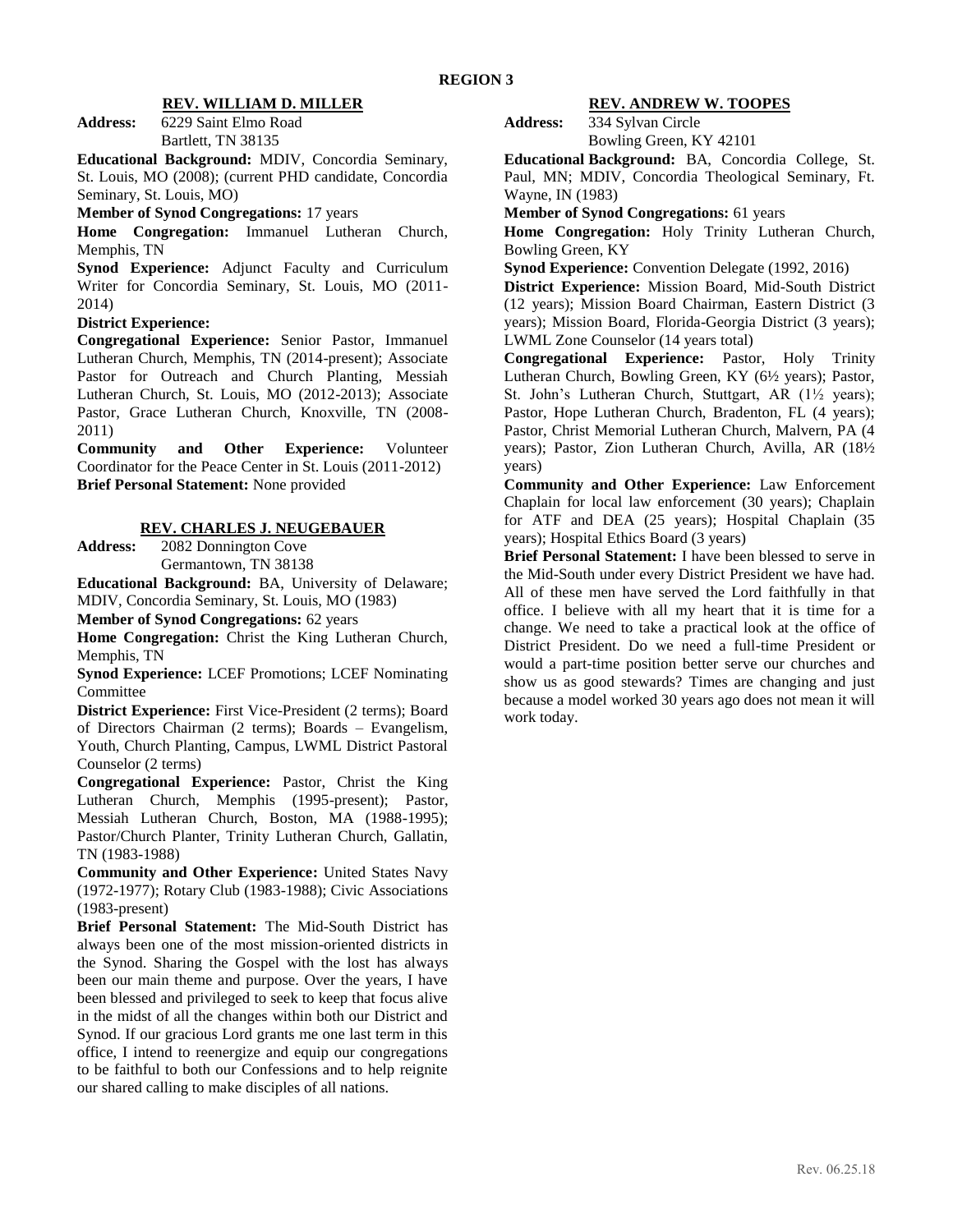#### **REV. WILLIAM D. MILLER**

**Address:** 6229 Saint Elmo Road Bartlett, TN 38135

**Educational Background:** MDIV, Concordia Seminary, St. Louis, MO (2008); (current PHD candidate, Concordia Seminary, St. Louis, MO)

### **Member of Synod Congregations:** 17 years

**Home Congregation:** Immanuel Lutheran Church, Memphis, TN

**Synod Experience:** Adjunct Faculty and Curriculum Writer for Concordia Seminary, St. Louis, MO (2011- 2014)

### **District Experience:**

**Congregational Experience:** Senior Pastor, Immanuel Lutheran Church, Memphis, TN (2014-present); Associate Pastor for Outreach and Church Planting, Messiah Lutheran Church, St. Louis, MO (2012-2013); Associate Pastor, Grace Lutheran Church, Knoxville, TN (2008- 2011)

**Community and Other Experience:** Volunteer Coordinator for the Peace Center in St. Louis (2011-2012) **Brief Personal Statement:** None provided

#### **REV. CHARLES J. NEUGEBAUER**

**Address:** 2082 Donnington Cove Germantown, TN 38138

**Educational Background:** BA, University of Delaware; MDIV, Concordia Seminary, St. Louis, MO (1983)

**Member of Synod Congregations:** 62 years

**Home Congregation:** Christ the King Lutheran Church, Memphis, TN

**Synod Experience:** LCEF Promotions; LCEF Nominating Committee

**District Experience:** First Vice-President (2 terms); Board of Directors Chairman (2 terms); Boards – Evangelism, Youth, Church Planting, Campus, LWML District Pastoral Counselor (2 terms)

**Congregational Experience:** Pastor, Christ the King Lutheran Church, Memphis (1995-present); Pastor, Messiah Lutheran Church, Boston, MA (1988-1995); Pastor/Church Planter, Trinity Lutheran Church, Gallatin, TN (1983-1988)

**Community and Other Experience:** United States Navy (1972-1977); Rotary Club (1983-1988); Civic Associations (1983-present)

**Brief Personal Statement:** The Mid-South District has always been one of the most mission-oriented districts in the Synod. Sharing the Gospel with the lost has always been our main theme and purpose. Over the years, I have been blessed and privileged to seek to keep that focus alive in the midst of all the changes within both our District and Synod. If our gracious Lord grants me one last term in this office, I intend to reenergize and equip our congregations to be faithful to both our Confessions and to help reignite our shared calling to make disciples of all nations.

#### **REV. ANDREW W. TOOPES**

**Address:** 334 Sylvan Circle Bowling Green, KY 42101

**Educational Background:** BA, Concordia College, St. Paul, MN; MDIV, Concordia Theological Seminary, Ft. Wayne, IN (1983)

**Member of Synod Congregations:** 61 years

**Home Congregation:** Holy Trinity Lutheran Church, Bowling Green, KY

**Synod Experience:** Convention Delegate (1992, 2016)

**District Experience:** Mission Board, Mid-South District (12 years); Mission Board Chairman, Eastern District (3 years); Mission Board, Florida-Georgia District (3 years); LWML Zone Counselor (14 years total)

**Congregational Experience:** Pastor, Holy Trinity Lutheran Church, Bowling Green, KY (6½ years); Pastor, St. John's Lutheran Church, Stuttgart, AR (1½ years); Pastor, Hope Lutheran Church, Bradenton, FL (4 years); Pastor, Christ Memorial Lutheran Church, Malvern, PA (4 years); Pastor, Zion Lutheran Church, Avilla, AR (18½ years)

**Community and Other Experience:** Law Enforcement Chaplain for local law enforcement (30 years); Chaplain for ATF and DEA (25 years); Hospital Chaplain (35 years); Hospital Ethics Board (3 years)

**Brief Personal Statement:** I have been blessed to serve in the Mid-South under every District President we have had. All of these men have served the Lord faithfully in that office. I believe with all my heart that it is time for a change. We need to take a practical look at the office of District President. Do we need a full-time President or would a part-time position better serve our churches and show us as good stewards? Times are changing and just because a model worked 30 years ago does not mean it will work today.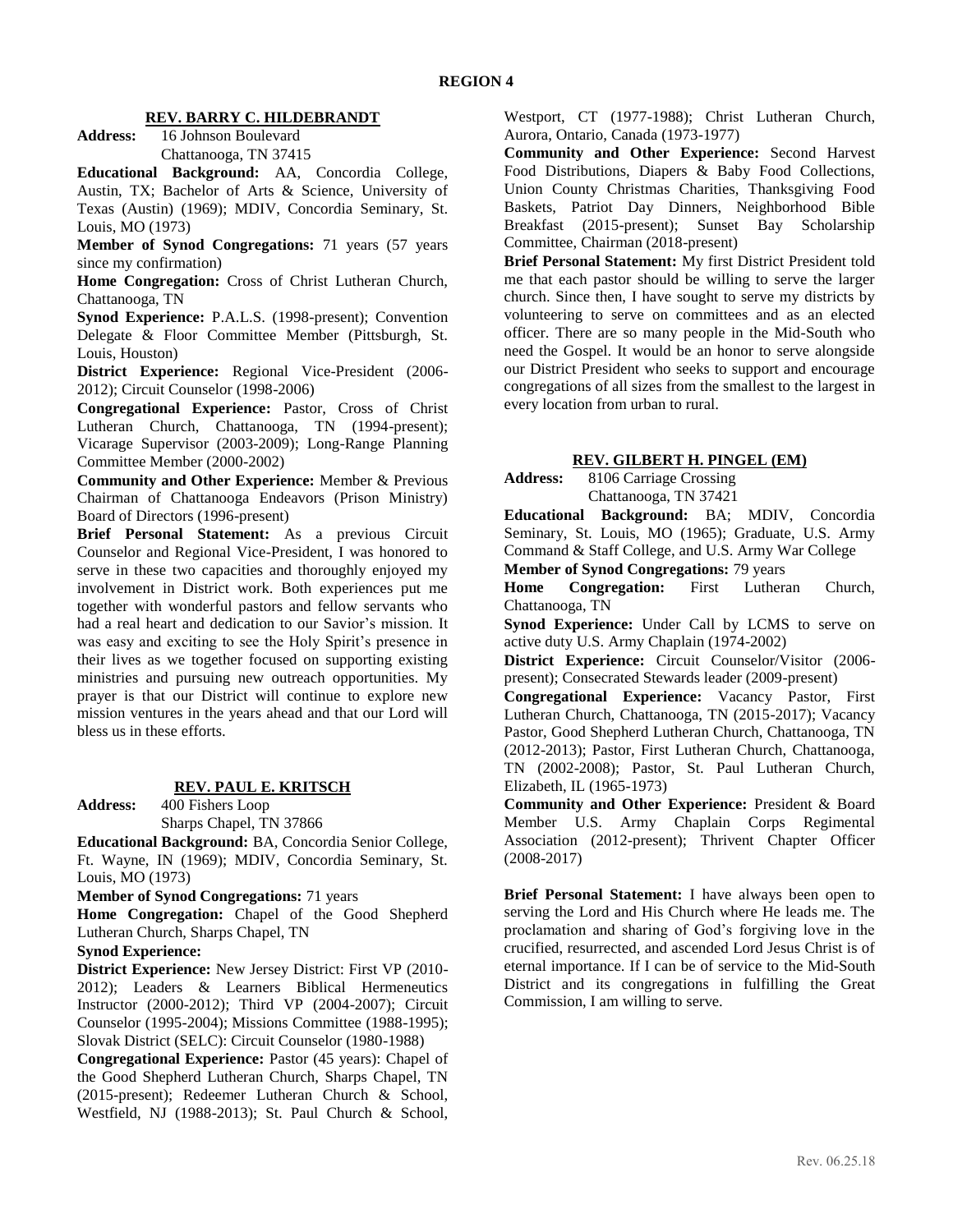### **REV. BARRY C. HILDEBRANDT**

**Address:** 16 Johnson Boulevard Chattanooga, TN 37415

**Educational Background:** AA, Concordia College, Austin, TX; Bachelor of Arts & Science, University of Texas (Austin) (1969); MDIV, Concordia Seminary, St. Louis, MO (1973)

**Member of Synod Congregations:** 71 years (57 years since my confirmation)

**Home Congregation:** Cross of Christ Lutheran Church, Chattanooga, TN

**Synod Experience:** P.A.L.S. (1998-present); Convention Delegate & Floor Committee Member (Pittsburgh, St. Louis, Houston)

**District Experience:** Regional Vice-President (2006- 2012); Circuit Counselor (1998-2006)

**Congregational Experience:** Pastor, Cross of Christ Lutheran Church, Chattanooga, TN (1994-present); Vicarage Supervisor (2003-2009); Long-Range Planning Committee Member (2000-2002)

**Community and Other Experience:** Member & Previous Chairman of Chattanooga Endeavors (Prison Ministry) Board of Directors (1996-present)

**Brief Personal Statement:** As a previous Circuit Counselor and Regional Vice-President, I was honored to serve in these two capacities and thoroughly enjoyed my involvement in District work. Both experiences put me together with wonderful pastors and fellow servants who had a real heart and dedication to our Savior's mission. It was easy and exciting to see the Holy Spirit's presence in their lives as we together focused on supporting existing ministries and pursuing new outreach opportunities. My prayer is that our District will continue to explore new mission ventures in the years ahead and that our Lord will bless us in these efforts.

### **REV. PAUL E. KRITSCH**

**Address:** 400 Fishers Loop

Sharps Chapel, TN 37866

**Educational Background:** BA, Concordia Senior College, Ft. Wayne, IN (1969); MDIV, Concordia Seminary, St. Louis, MO (1973)

**Member of Synod Congregations:** 71 years

**Home Congregation:** Chapel of the Good Shepherd Lutheran Church, Sharps Chapel, TN

#### **Synod Experience:**

**District Experience:** New Jersey District: First VP (2010- 2012); Leaders & Learners Biblical Hermeneutics Instructor (2000-2012); Third VP (2004-2007); Circuit Counselor (1995-2004); Missions Committee (1988-1995); Slovak District (SELC): Circuit Counselor (1980-1988)

**Congregational Experience:** Pastor (45 years): Chapel of the Good Shepherd Lutheran Church, Sharps Chapel, TN (2015-present); Redeemer Lutheran Church & School, Westfield, NJ (1988-2013); St. Paul Church & School,

Westport, CT (1977-1988); Christ Lutheran Church, Aurora, Ontario, Canada (1973-1977)

**Community and Other Experience:** Second Harvest Food Distributions, Diapers & Baby Food Collections, Union County Christmas Charities, Thanksgiving Food Baskets, Patriot Day Dinners, Neighborhood Bible Breakfast (2015-present); Sunset Bay Scholarship Committee, Chairman (2018-present)

**Brief Personal Statement:** My first District President told me that each pastor should be willing to serve the larger church. Since then, I have sought to serve my districts by volunteering to serve on committees and as an elected officer. There are so many people in the Mid-South who need the Gospel. It would be an honor to serve alongside our District President who seeks to support and encourage congregations of all sizes from the smallest to the largest in every location from urban to rural.

#### **REV. GILBERT H. PINGEL (EM)**

**Address:** 8106 Carriage Crossing Chattanooga, TN 37421

**Educational Background:** BA; MDIV, Concordia Seminary, St. Louis, MO (1965); Graduate, U.S. Army Command & Staff College, and U.S. Army War College

**Member of Synod Congregations:** 79 years

**Home Congregation:** First Lutheran Church, Chattanooga, TN

**Synod Experience:** Under Call by LCMS to serve on active duty U.S. Army Chaplain (1974-2002)

**District Experience:** Circuit Counselor/Visitor (2006 present); Consecrated Stewards leader (2009-present)

**Congregational Experience:** Vacancy Pastor, First Lutheran Church, Chattanooga, TN (2015-2017); Vacancy Pastor, Good Shepherd Lutheran Church, Chattanooga, TN (2012-2013); Pastor, First Lutheran Church, Chattanooga, TN (2002-2008); Pastor, St. Paul Lutheran Church, Elizabeth, IL (1965-1973)

**Community and Other Experience:** President & Board Member U.S. Army Chaplain Corps Regimental Association (2012-present); Thrivent Chapter Officer (2008-2017)

**Brief Personal Statement:** I have always been open to serving the Lord and His Church where He leads me. The proclamation and sharing of God's forgiving love in the crucified, resurrected, and ascended Lord Jesus Christ is of eternal importance. If I can be of service to the Mid-South District and its congregations in fulfilling the Great Commission, I am willing to serve.